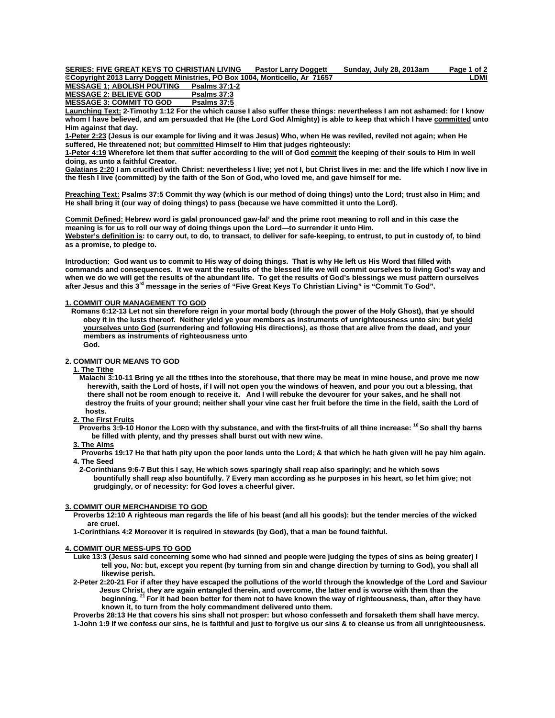| SERIES: FIVE GREAT KEYS TO CHRISTIAN LIVING                                 | <b>Pastor Larry Doggett</b> | Sundav. July 28, 2013am | Page 1 of 2 |
|-----------------------------------------------------------------------------|-----------------------------|-------------------------|-------------|
| ©Copyright 2013 Larry Doggett Ministries. PO Box 1004. Monticello. Ar 71657 |                             |                         | ∟DMI        |

**MESSAGE 1; ABOLISH POUTING Psalms 37:1-2** MESSAGE 2: BELIEVE GOD Psalms 37:3<br>MESSAGE 3: COMMIT TO GOD Psalms 37:5 **MESSAGE 3: COMMIT TO GOD** 

**Launching Text: 2-Timothy 1:12 For the which cause I also suffer these things: nevertheless I am not ashamed: for I know whom I have believed, and am persuaded that He (the Lord God Almighty) is able to keep that which I have committed unto Him against that day.** 

**1-Peter 2:23 (Jesus is our example for living and it was Jesus) Who, when He was reviled, reviled not again; when He suffered, He threatened not; but committed Himself to Him that judges righteously:** 

**1-Peter 4:19 Wherefore let them that suffer according to the will of God commit the keeping of their souls to Him in well doing, as unto a faithful Creator.** 

**Galatians 2:20 I am crucified with Christ: nevertheless I live; yet not I, but Christ lives in me: and the life which I now live in the flesh I live (committed) by the faith of the Son of God, who loved me, and gave himself for me.** 

**Preaching Text: Psalms 37:5 Commit thy way (which is our method of doing things) unto the Lord; trust also in Him; and He shall bring it (our way of doing things) to pass (because we have committed it unto the Lord).** 

**Commit Defined: Hebrew word is galal pronounced gaw-lal' and the prime root meaning to roll and in this case the meaning is for us to roll our way of doing things upon the Lord—to surrender it unto Him. Webster's definition is: to carry out, to do, to transact, to deliver for safe-keeping, to entrust, to put in custody of, to bind as a promise, to pledge to.** 

**Introduction: God want us to commit to His way of doing things. That is why He left us His Word that filled with commands and consequences. It we want the results of the blessed life we will commit ourselves to living God's way and when we do we will get the results of the abundant life. To get the results of God's blessings we must pattern ourselves after Jesus and this 3rd message in the series of "Five Great Keys To Christian Living" is "Commit To God".** 

# **1. COMMIT OUR MANAGEMENT TO GOD**

 **Romans 6:12-13 Let not sin therefore reign in your mortal body (through the power of the Holy Ghost), that ye should obey it in the lusts thereof. Neither yield ye your members as instruments of unrighteousness unto sin: but yield yourselves unto God (surrendering and following His directions), as those that are alive from the dead, and your members as instruments of righteousness unto God.** 

## **2. COMMIT OUR MEANS TO GOD**

# **1. The Tithe**

 **Malachi 3:10-11 Bring ye all the tithes into the storehouse, that there may be meat in mine house, and prove me now herewith, saith the Lord of hosts, if I will not open you the windows of heaven, and pour you out a blessing, that there shall not be room enough to receive it. And I will rebuke the devourer for your sakes, and he shall not destroy the fruits of your ground; neither shall your vine cast her fruit before the time in the field, saith the Lord of hosts.**

# **2. The First Fruits**

 **Proverbs 3:9-10 Honor the LORD with thy substance, and with the first-fruits of all thine increase: 10 So shall thy barns be filled with plenty, and thy presses shall burst out with new wine.**

## **3. The Alms**

 **Proverbs 19:17 He that hath pity upon the poor lends unto the Lord; & that which he hath given will he pay him again. 4. The Seed**

 **2-Corinthians 9:6-7 But this I say, He which sows sparingly shall reap also sparingly; and he which sows bountifully shall reap also bountifully. 7 Every man according as he purposes in his heart, so let him give; not grudgingly, or of necessity: for God loves a cheerful giver.** 

## **3. COMMIT OUR MERCHANDISE TO GOD**

 **Proverbs 12:10 A righteous man regards the life of his beast (and all his goods): but the tender mercies of the wicked are cruel.** 

 **1-Corinthians 4:2 Moreover it is required in stewards (by God), that a man be found faithful.** 

## **4. COMMIT OUR MESS-UPS TO GOD**

- **Luke 13:3 (Jesus said concerning some who had sinned and people were judging the types of sins as being greater) I tell you, No: but, except you repent (by turning from sin and change direction by turning to God), you shall all likewise perish.**
- **2-Peter 2:20-21 For if after they have escaped the pollutions of the world through the knowledge of the Lord and Saviour**  Jesus Christ, they are again entangled therein, and overcome, the latter end is worse with them than the<br>beginning. <sup>21</sup> For it had been better for them not to have known the way of righteousness, than, after they have  **known it, to turn from the holy commandment delivered unto them.**

 **Proverbs 28:13 He that covers his sins shall not prosper: but whoso confesseth and forsaketh them shall have mercy. 1-John 1:9 If we confess our sins, he is faithful and just to forgive us our sins & to cleanse us from all unrighteousness.**